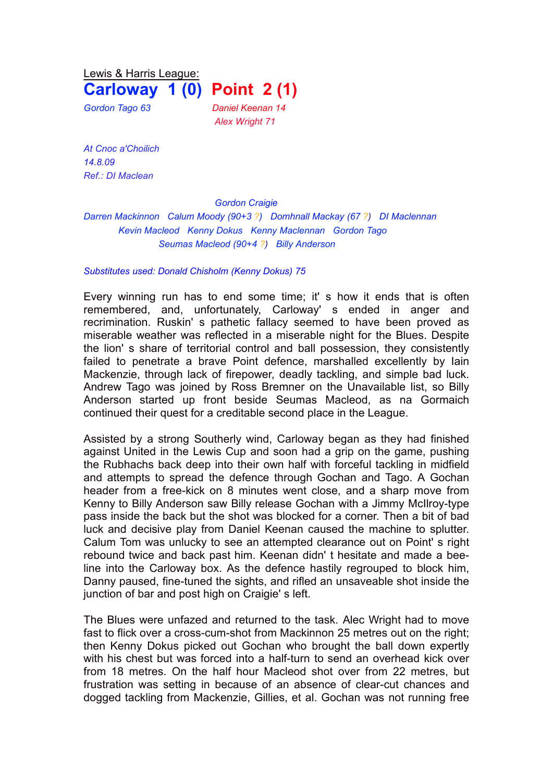Lewis & Harris League:

**Carloway 1 (0) Point 2 (1)**

*Gordon Tago 63 Daniel Keenan 14 Alex Wright 71*

*At Cnoc a'Choilich 14.8.09 Ref.: DI Maclean*

*Gordon Craigie*

*Darren Mackinnon Calum Moody (90+3 ?) Domhnall Mackay (67 ?) DI Maclennan Kevin Macleod Kenny Dokus Kenny Maclennan Gordon Tago Seumas Macleod (90+4 ?) Billy Anderson*

*Substitutes used: Donald Chisholm (Kenny Dokus) 75*

Every winning run has to end some time; it' s how it ends that is often remembered, and, unfortunately, Carloway' s ended in anger and recrimination. Ruskin' s pathetic fallacy seemed to have been proved as miserable weather was reflected in a miserable night for the Blues. Despite the lion' s share of territorial control and ball possession, they consistently failed to penetrate a brave Point defence, marshalled excellently by Iain Mackenzie, through lack of firepower, deadly tackling, and simple bad luck. Andrew Tago was joined by Ross Bremner on the Unavailable list, so Billy Anderson started up front beside Seumas Macleod, as na Gormaich continued their quest for a creditable second place in the League.

Assisted by a strong Southerly wind, Carloway began as they had finished against United in the Lewis Cup and soon had a grip on the game, pushing the Rubhachs back deep into their own half with forceful tackling in midfield and attempts to spread the defence through Gochan and Tago. A Gochan header from a free-kick on 8 minutes went close, and a sharp move from Kenny to Billy Anderson saw Billy release Gochan with a Jimmy McIlroy-type pass inside the back but the shot was blocked for a corner. Then a bit of bad luck and decisive play from Daniel Keenan caused the machine to splutter. Calum Tom was unlucky to see an attempted clearance out on Point' s right rebound twice and back past him. Keenan didn' t hesitate and made a beeline into the Carloway box. As the defence hastily regrouped to block him, Danny paused, fine-tuned the sights, and rifled an unsaveable shot inside the junction of bar and post high on Craigie' s left.

The Blues were unfazed and returned to the task. Alec Wright had to move fast to flick over a cross-cum-shot from Mackinnon 25 metres out on the right; then Kenny Dokus picked out Gochan who brought the ball down expertly with his chest but was forced into a half-turn to send an overhead kick over from 18 metres. On the half hour Macleod shot over from 22 metres, but frustration was setting in because of an absence of clear-cut chances and dogged tackling from Mackenzie, Gillies, et al. Gochan was not running free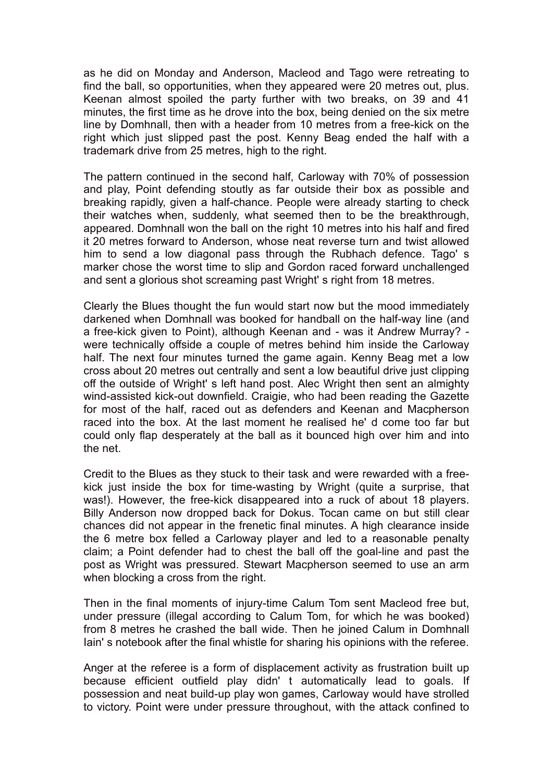as he did on Monday and Anderson, Macleod and Tago were retreating to find the ball, so opportunities, when they appeared were 20 metres out, plus. Keenan almost spoiled the party further with two breaks, on 39 and 41 minutes, the first time as he drove into the box, being denied on the six metre line by Domhnall, then with a header from 10 metres from a free-kick on the right which just slipped past the post. Kenny Beag ended the half with a trademark drive from 25 metres, high to the right.

The pattern continued in the second half, Carloway with 70% of possession and play, Point defending stoutly as far outside their box as possible and breaking rapidly, given a half-chance. People were already starting to check their watches when, suddenly, what seemed then to be the breakthrough, appeared. Domhnall won the ball on the right 10 metres into his half and fired it 20 metres forward to Anderson, whose neat reverse turn and twist allowed him to send a low diagonal pass through the Rubhach defence. Tago' s marker chose the worst time to slip and Gordon raced forward unchallenged and sent a glorious shot screaming past Wright' s right from 18 metres.

Clearly the Blues thought the fun would start now but the mood immediately darkened when Domhnall was booked for handball on the half-way line (and a free-kick given to Point), although Keenan and - was it Andrew Murray? were technically offside a couple of metres behind him inside the Carloway half. The next four minutes turned the game again. Kenny Beag met a low cross about 20 metres out centrally and sent a low beautiful drive just clipping off the outside of Wright' s left hand post. Alec Wright then sent an almighty wind-assisted kick-out downfield. Craigie, who had been reading the Gazette for most of the half, raced out as defenders and Keenan and Macpherson raced into the box. At the last moment he realised he' d come too far but could only flap desperately at the ball as it bounced high over him and into the net.

Credit to the Blues as they stuck to their task and were rewarded with a freekick just inside the box for time-wasting by Wright (quite a surprise, that was!). However, the free-kick disappeared into a ruck of about 18 players. Billy Anderson now dropped back for Dokus. Tocan came on but still clear chances did not appear in the frenetic final minutes. A high clearance inside the 6 metre box felled a Carloway player and led to a reasonable penalty claim; a Point defender had to chest the ball off the goal-line and past the post as Wright was pressured. Stewart Macpherson seemed to use an arm when blocking a cross from the right.

Then in the final moments of injury-time Calum Tom sent Macleod free but, under pressure (illegal according to Calum Tom, for which he was booked) from 8 metres he crashed the ball wide. Then he joined Calum in Domhnall Iain' s notebook after the final whistle for sharing his opinions with the referee.

Anger at the referee is a form of displacement activity as frustration built up because efficient outfield play didn' t automatically lead to goals. If possession and neat build-up play won games, Carloway would have strolled to victory. Point were under pressure throughout, with the attack confined to